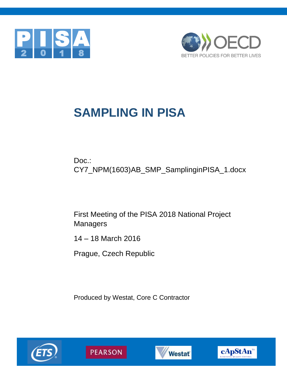



# **SAMPLING IN PISA**

Doc.: CY7\_NPM(1603)AB\_SMP\_SamplinginPISA\_1.docx

First Meeting of the PISA 2018 National Project **Managers** 

14 – 18 March 2016

Prague, Czech Republic

Produced by Westat, Core C Contractor







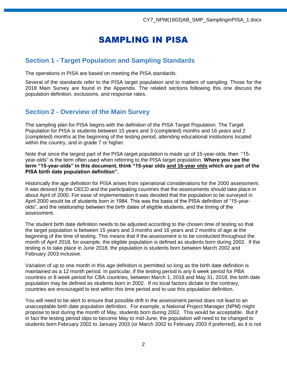## SAMPLING IN PISA

## **Section 1 - Target Population and Sampling Standards**

The operations in PISA are based on meeting the PISA standards.

Several of the standards refer to the PISA target population and to matters of sampling. Those for the 2018 Main Survey are found in the Appendix. The related sections following this one discuss the population definition, exclusions, and response rates.

## **Section 2 - Overview of the Main Survey**

The sampling plan for PISA begins with the definition of the PISA Target Population. The Target Population for PISA is students between 15 years and 3 (completed) months and 16 years and 2 (completed) months at the beginning of the testing period, attending educational institutions located within the country, and in grade 7 or higher.

Note that since the largest part of the PISA target population is made up of 15-year-olds, then "15 year-olds" is the term often used when referring to the PISA target population. **Where you see the term "15-year-olds" in this document, think "15-year olds and 16-year olds which are part of the PISA birth date population definition".**

Historically the age definition for PISA arises from operational considerations for the 2000 assessment. It was desired by the OECD and the participating countries that the assessments should take place in about April of 2000. For ease of implementation it was decided that the population to be surveyed in April 2000 would be of students born in 1984. This was the basis of the PISA definition of "15-yearolds", and the relationship between the birth dates of eligible students, and the timing of the assessment.

The student birth date definition needs to be adjusted according to the chosen time of testing so that the target population is between 15 years and 3 months and 16 years and 2 months of age at the beginning of the time of testing. This means that if the assessment is to be conducted throughout the month of April 2018, for example, the eligible population is defined as students born during 2002. If the testing is to take place in June 2018, the population is students born between March 2002 and February 2003 inclusive.

Variation of up to one month in this age definition is permitted so long as the birth date definition is maintained as a 12 month period. In particular, if the testing period is any 6 week period for PBA countries or 8 week period for CBA countries, between March 1, 2018 and May 31, 2018, the birth date population may be defined as students born in 2002. If no local factors dictate to the contrary, countries are encouraged to test within this time period and to use this population definition.

You will need to be alert to ensure that possible drift in the assessment period does not lead to an unacceptable birth date population definition. For example, a National Project Manager (NPM) might propose to test during the month of May, students born during 2002. This would be acceptable. But if in fact the testing period slips to become May to mid-June, the population will need to be changed to students born February 2002 to January 2003 (or March 2002 to February 2003 if preferred), as it is not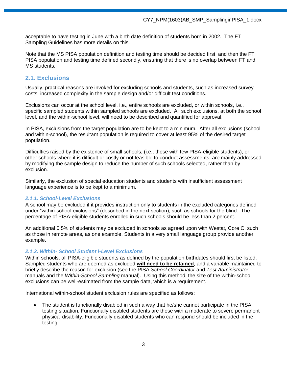acceptable to have testing in June with a birth date definition of students born in 2002. The FT Sampling Guidelines has more details on this.

Note that the MS PISA population definition and testing time should be decided first, and then the FT PISA population and testing time defined secondly, ensuring that there is no overlap between FT and MS students.

## **2.1. Exclusions**

Usually, practical reasons are invoked for excluding schools and students, such as increased survey costs, increased complexity in the sample design and/or difficult test conditions.

Exclusions can occur at the school level, i.e., entire schools are excluded, or within schools, i.e., specific sampled students within sampled schools are excluded. All such exclusions, at both the school level, and the within-school level, will need to be described and quantified for approval.

In PISA, exclusions from the target population are to be kept to a minimum. After all exclusions (school and within-school), the resultant population is required to cover at least 95% of the desired target population.

Difficulties raised by the existence of small schools, (i.e., those with few PISA-eligible students), or other schools where it is difficult or costly or not feasible to conduct assessments, are mainly addressed by modifying the sample design to reduce the number of such schools selected, rather than by exclusion.

Similarly, the exclusion of special education students and students with insufficient assessment language experience is to be kept to a minimum.

## *2.1.1. School-Level Exclusions*

A school may be excluded if it provides instruction only to students in the excluded categories defined under "within-school exclusions" (described in the next section), such as schools for the blind. The percentage of PISA-eligible students enrolled in such schools should be less than 2 percent.

An additional 0.5% of students may be excluded in schools as agreed upon with Westat, Core C, such as those in remote areas, as one example. Students in a very small language group provide another example.

## *2.1.2. Within- School Student l-Level Exclusions*

Within schools, all PISA-eligible students as defined by the population birthdates should first be listed. Sampled students who are deemed as excluded **will need to be retained**, and a variable maintained to briefly describe the reason for exclusion (see the PISA *School Coordinator* and *Test Administrator* manuals and the *Within-School Sampling* manual). Using this method, the size of the within-school exclusions can be well-estimated from the sample data, which is a requirement.

International within-school student exclusion rules are specified as follows:

 The student is functionally disabled in such a way that he/she cannot participate in the PISA testing situation. Functionally disabled students are those with a moderate to severe permanent physical disability. Functionally disabled students who can respond should be included in the testing.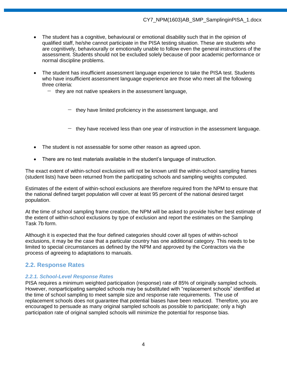- The student has a cognitive, behavioural or emotional disability such that in the opinion of qualified staff, he/she cannot participate in the PISA testing situation. These are students who are cognitively, behaviourally or emotionally unable to follow even the general instructions of the assessment. Students should not be excluded solely because of poor academic performance or normal discipline problems.
- The student has insufficient assessment language experience to take the PISA test. Students who have insufficient assessment language experience are those who meet all the following three criteria:
	- − they are not native speakers in the assessment language,
		- − they have limited proficiency in the assessment language, and
		- − they have received less than one year of instruction in the assessment language.
- The student is not assessable for some other reason as agreed upon.
- There are no test materials available in the student's language of instruction.

The exact extent of within-school exclusions will not be known until the within-school sampling frames (student lists) have been returned from the participating schools and sampling weights computed.

Estimates of the extent of within-school exclusions are therefore required from the NPM to ensure that the national defined target population will cover at least 95 percent of the national desired target population.

At the time of school sampling frame creation, the NPM will be asked to provide his/her best estimate of the extent of within-school exclusions by type of exclusion and report the estimates on the Sampling Task 7b form.

Although it is expected that the four defined categories should cover all types of within-school exclusions, it may be the case that a particular country has one additional category. This needs to be limited to special circumstances as defined by the NPM and approved by the Contractors via the process of agreeing to adaptations to manuals.

## **2.2. Response Rates**

## *2.2.1. School-Level Response Rates*

PISA requires a minimum weighted participation (response) rate of 85% of originally sampled schools. However, nonparticipating sampled schools may be substituted with "replacement schools" identified at the time of school sampling to meet sample size and response rate requirements. The use of replacement schools does not guarantee that potential biases have been reduced. Therefore, you are encouraged to persuade as many original sampled schools as possible to participate; only a high participation rate of original sampled schools will minimize the potential for response bias.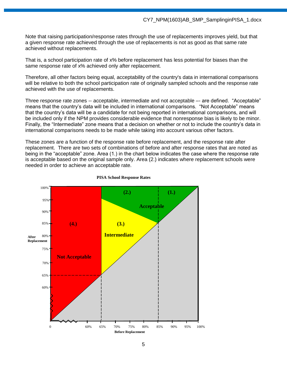Note that raising participation/response rates through the use of replacements improves yield, but that a given response rate achieved through the use of replacements is not as good as that same rate achieved without replacements.

That is, a school participation rate of x% before replacement has less potential for biases than the same response rate of x% achieved only after replacement.

Therefore, all other factors being equal, acceptability of the country's data in international comparisons will be relative to both the school participation rate of originally sampled schools and the response rate achieved with the use of replacements.

Three response rate zones -- acceptable, intermediate and not acceptable –- are defined. "Acceptable" means that the country's data will be included in international comparisons. "Not Acceptable" means that the country's data will be a candidate for not being reported in international comparisons, and will be included only if the NPM provides considerable evidence that nonresponse bias is likely to be minor. Finally, the "Intermediate" zone means that a decision on whether or not to include the country's data in international comparisons needs to be made while taking into account various other factors.

These zones are a function of the response rate before replacement, and the response rate after replacement. There are two sets of combinations of before and after response rates that are noted as being in the "acceptable" zone. Area (1.) in the chart below indicates the case where the response rate is acceptable based on the original sample only. Area (2.) indicates where replacement schools were needed in order to achieve an acceptable rate.



#### **PISA School Response Rates**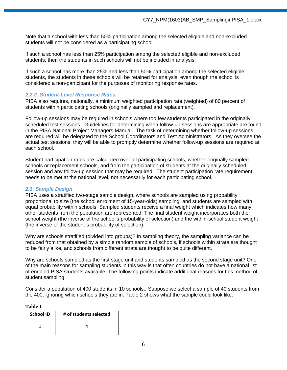Note that a school with less than 50% participation among the selected eligible and non-excluded students will not be considered as a participating school.

If such a school has less than 25% participation among the selected eligible and non-excluded students, then the students in such schools will not be included in analysis.

If such a school has more than 25% and less than 50% participation among the selected eligible students, the students in these schools will be retained for analysis, even though the school is considered a non-participant for the purposes of monitoring response rates.

## *2.2.2. Student-Level Response Rates*

PISA also requires, nationally, a minimum weighted participation rate (weighted) of 80 percent of students within participating schools (originally sampled and replacement).

Follow-up sessions may be required in schools where too few students participated in the originally scheduled test sessions. Guidelines for determining when follow-up sessions are appropriate are found in the PISA National Project Managers Manual. The task of determining whether follow-up sessions are required will be delegated to the School Coordinators and Test Administrators. As they oversee the actual test sessions, they will be able to promptly determine whether follow-up sessions are required at each school.

Student participation rates are calculated over all participating schools, whether originally sampled schools or replacement schools, and from the participation of students at the originally scheduled session and any follow-up session that may be required. The student participation rate requirement needs to be met at the national level, not necessarily for each participating school.

#### *2.3. Sample Design*

PISA uses a stratified two-stage sample design, where schools are sampled using probability proportional to size (the school enrolment of 15-year-olds) sampling, and students are sampled with equal probability within schools. Sampled students receive a final weight which indicates how many other students from the population are represented. The final student weight incorporates both the school weight (the inverse of the school's probability of selection) and the within-school student weight (the inverse of the student s probability of selection).

Why are schools stratified (divided into groups)? In sampling theory, the sampling variance can be reduced from that obtained by a simple random sample of schools, if schools within strata are thought to be fairly alike, and schools from different strata are thought to be quite different.

Why are schools sampled as the first stage unit and students sampled as the second stage unit? One of the main reasons for sampling students in this way is that often countries do not have a national list of enrolled PISA students available. The following points indicate additional reasons for this method of student sampling.

Consider a population of 400 students in 10 schools.. Suppose we select a sample of 40 students from the 400, ignoring which schools they are in. Table 2 shows what the sample could look like.

| ונו<br>н<br>я |  |
|---------------|--|
|---------------|--|

| <b>School ID</b> | # of students selected |
|------------------|------------------------|
|                  |                        |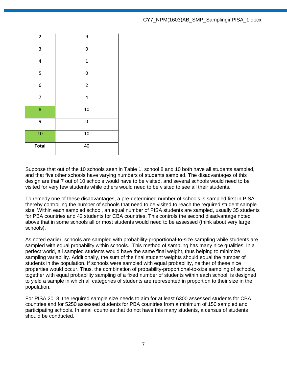| $\overline{2}$ | 9            |
|----------------|--------------|
| $\mathsf 3$    | 0            |
| 4              | $\mathbf{1}$ |
| 5              | 0            |
| 6              | $\mathbf 2$  |
| $\overline{7}$ | 4            |
| 8              | 10           |
| 9              | 0            |
| 10             | 10           |
| <b>Total</b>   | 40           |

Suppose that out of the 10 schools seen in Table 1, school 8 and 10 both have all students sampled, and that five other schools have varying numbers of students sampled. The disadvantages of this design are that 7 out of 10 schools would have to be visited, and several schools would need to be visited for very few students while others would need to be visited to see all their students.

To remedy one of these disadvantages, a pre-determined number of schools is sampled first in PISA thereby controlling the number of schools that need to be visited to reach the required student sample size. Within each sampled school, an equal number of PISA students are sampled, usually 35 students for PBA countries and 42 students for CBA countries. This controls the second disadvantage noted above that in some schools all or most students would need to be assessed (think about very large schools).

As noted earlier, schools are sampled with probability-proportional-to-size sampling while students are sampled with equal probability within schools. This method of sampling has many nice qualities. In a perfect world, all sampled students would have the same final weight, thus helping to minimize sampling variability. Additionally, the sum of the final student weights should equal the number of students in the population. If schools were sampled with equal probability, neither of these nice properties would occur. Thus, the combination of probability-proportional-to-size sampling of schools, together with equal probability sampling of a fixed number of students within each school, is designed to yield a sample in which all categories of students are represented in proportion to their size in the population.

For PISA 2018, the required sample size needs to aim for at least 6300 assessed students for CBA countries and for 5250 assessed students for PBA countries from a minimum of 150 sampled and participating schools. In small countries that do not have this many students, a census of students should be conducted.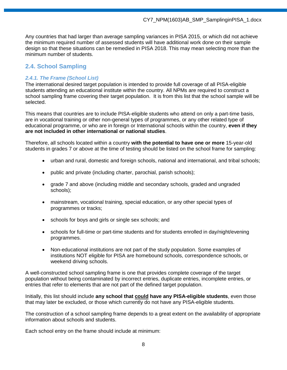Any countries that had larger than average sampling variances in PISA 2015, or which did not achieve the minimum required number of assessed students will have additional work done on their sample design so that these situations can be remedied in PISA 2018. This may mean selecting more than the minimum number of students.

## **2.4. School Sampling**

## *2.4.1. The Frame (School List)*

The international desired target population is intended to provide full coverage of all PISA-eligible students attending an educational institute within the country. All NPMs are required to construct a school sampling frame covering their target population. It is from this list that the school sample will be selected.

This means that countries are to include PISA-eligible students who attend on only a part-time basis, are in vocational training or other non-general types of programmes, or any other related type of educational programme, or who are in foreign or International schools within the country, **even if they are not included in other international or national studies**.

Therefore, all schools located within a country **with the potential to have one or more** 15-year-old students in grades 7 or above at the time of testing should be listed on the school frame for sampling:

- urban and rural, domestic and foreign schools, national and international, and tribal schools;
- public and private (including charter, parochial, parish schools);
- grade 7 and above (including middle and secondary schools, graded and ungraded schools);
- mainstream, vocational training, special education, or any other special types of programmes or tracks;
- schools for boys and girls or single sex schools; and
- schools for full-time or part-time students and for students enrolled in day/night/evening programmes.
- Non-educational institutions are not part of the study population. Some examples of institutions NOT eligible for PISA are homebound schools, correspondence schools, or weekend driving schools.

A well-constructed school sampling frame is one that provides complete coverage of the target population without being contaminated by incorrect entries, duplicate entries, incomplete entries, or entries that refer to elements that are not part of the defined target population.

Initially, this list should include **any school that could have any PISA-eligible students**, even those that may later be excluded, or those which currently do not have any PISA-eligible students.

The construction of a school sampling frame depends to a great extent on the availability of appropriate information about schools and students.

Each school entry on the frame should include at minimum: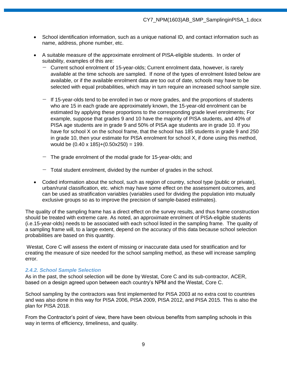- School identification information, such as a unique national ID, and contact information such as name, address, phone number, etc.
- A suitable measure of the approximate enrolment of PISA-eligible students. In order of suitability, examples of this are:
	- − Current school enrolment of 15-year-olds; Current enrolment data, however, is rarely available at the time schools are sampled. If none of the types of enrolment listed below are available, or if the available enrolment data are too out of date, schools may have to be selected with equal probabilities, which may in turn require an increased school sample size.
	- − If 15-year-olds tend to be enrolled in two or more grades, and the proportions of students who are 15 in each grade are approximately known, the 15-year-old enrolment can be estimated by applying these proportions to the corresponding grade level enrolments; For example, suppose that grades 9 and 10 have the majority of PISA students, and 40% of PISA age students are in grade 9 and 50% of PISA age students are in grade 10. If you have for school X on the school frame, that the school has 185 students in grade 9 and 250 in grade 10, then your estimate for PISA enrolment for school X, if done using this method, would be  $(0.40 \times 185)+(0.50 \times 250) = 199$ .
	- − The grade enrolment of the modal grade for 15-year-olds; and
	- − Total student enrolment, divided by the number of grades in the school.
- Coded information about the school, such as region of country, school type (public or private), urban/rural classification, etc. which may have some effect on the assessment outcomes, and can be used as stratification variables (variables used for dividing the population into mutually exclusive groups so as to improve the precision of sample-based estimates).

The quality of the sampling frame has a direct effect on the survey results, and thus frame construction should be treated with extreme care. As noted, an approximate enrolment of PISA-eligible students (i.e.15-year-olds) needs to be associated with each school listed in the sampling frame. The quality of a sampling frame will, to a large extent, depend on the accuracy of this data because school selection probabilities are based on this quantity.

Westat, Core C will assess the extent of missing or inaccurate data used for stratification and for creating the measure of size needed for the school sampling method, as these will increase sampling error.

#### *2.4.2. School Sample Selection*

As in the past, the school selection will be done by Westat, Core C and its sub-contractor, ACER, based on a design agreed upon between each country's NPM and the Westat, Core C.

School sampling by the contractors was first implemented for PISA 2003 at no extra cost to countries and was also done in this way for PISA 2006, PISA 2009, PISA 2012, and PISA 2015. This is also the plan for PISA 2018.

From the Contractor's point of view, there have been obvious benefits from sampling schools in this way in terms of efficiency, timeliness, and quality.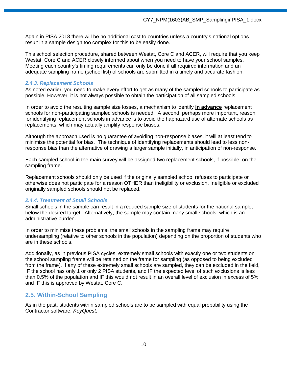Again in PISA 2018 there will be no additional cost to countries unless a country's national options result in a sample design too complex for this to be easily done.

This school selection procedure, shared between Westat, Core C and ACER, will require that you keep Westat, Core C and ACER closely informed about when you need to have your school samples. Meeting each country's timing requirements can only be done if all required information and an adequate sampling frame (school list) of schools are submitted in a timely and accurate fashion.

#### *2.4.3. Replacement Schools*

As noted earlier, you need to make every effort to get as many of the sampled schools to participate as possible. However, it is not always possible to obtain the participation of all sampled schools.

In order to avoid the resulting sample size losses, a mechanism to identify **in advance** replacement schools for non-participating sampled schools is needed. A second, perhaps more important, reason for identifying replacement schools in advance is to avoid the haphazard use of alternate schools as replacements, which may actually amplify response biases.

Although the approach used is no guarantee of avoiding non-response biases, it will at least tend to minimise the potential for bias. The technique of identifying replacements should lead to less nonresponse bias than the alternative of drawing a larger sample initially, in anticipation of non-response.

Each sampled school in the main survey will be assigned two replacement schools, if possible, on the sampling frame.

Replacement schools should only be used if the originally sampled school refuses to participate or otherwise does not participate for a reason OTHER than ineligibility or exclusion. Ineligible or excluded originally sampled schools should not be replaced.

## *2.4.4. Treatment of Small Schools*

Small schools in the sample can result in a reduced sample size of students for the national sample, below the desired target. Alternatively, the sample may contain many small schools, which is an administrative burden.

In order to minimise these problems, the small schools in the sampling frame may require undersampling (relative to other schools in the population) depending on the proportion of students who are in these schools.

Additionally, as in previous PISA cycles, extremely small schools with exactly one or two students on the school sampling frame will be retained on the frame for sampling (as opposed to being excluded from the frame). If any of these extremely small schools are sampled, they can be excluded in the field, IF the school has only 1 or only 2 PISA students, and IF the expected level of such exclusions is less than 0.5% of the population and IF this would not result in an overall level of exclusion in excess of 5% and IF this is approved by Westat, Core C.

## **2.5. Within-School Sampling**

As in the past, students within sampled schools are to be sampled with equal probability using the Contractor software, *KeyQuest*.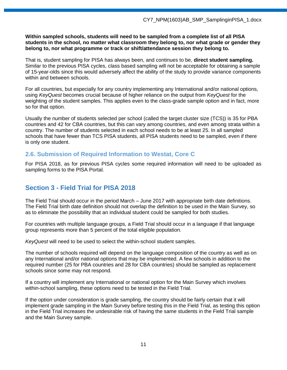#### **Within sampled schools, students will need to be sampled from a complete list of all PISA students in the school, no matter what classroom they belong to, nor what grade or gender they belong to, nor what programme or track or shift/attendance session they belong to.**

That is, student sampling for PISA has always been, and continues to be, **direct student sampling.**  Similar to the previous PISA cycles, class based sampling will not be acceptable for obtaining a sample of 15-year-olds since this would adversely affect the ability of the study to provide variance components within and between schools.

For all countries, but especially for any country implementing any International and/or national options, using *KeyQuest* becomes crucial because of higher reliance on the output from *KeyQuest* for the weighting of the student samples. This applies even to the class-grade sample option and in fact, more so for that option.

Usually the number of students selected per school (called the target cluster size (TCS)) is 35 for PBA countries and 42 for CBA countries, but this can vary among countries, and even among strata within a country. The number of students selected in each school needs to be at least 25. In all sampled schools that have fewer than TCS PISA students, all PISA students need to be sampled, even if there is only one student.

## **2.6. Submission of Required Information to Westat, Core C**

For PISA 2018, as for previous PISA cycles some required information will need to be uploaded as sampling forms to the PISA Portal.

## **Section 3 - Field Trial for PISA 2018**

The Field Trial should occur in the period March – June 2017 with appropriate birth date definitions. The Field Trial birth date definition should not overlap the definition to be used in the Main Survey, so as to eliminate the possibility that an individual student could be sampled for both studies.

For countries with multiple language groups, a Field Trial should occur in a language if that language group represents more than 5 percent of the total eligible population.

*KeyQuest* will need to be used to select the within-school student samples.

The number of schools required will depend on the language composition of the country as well as on any International and/or national options that may be implemented. A few schools in addition to the required number (25 for PBA countries and 28 for CBA countries) should be sampled as replacement schools since some may not respond.

If a country will implement any International or national option for the Main Survey which involves within-school sampling, these options need to be tested in the Field Trial.

If the option under consideration is grade sampling, the country should be fairly certain that it will implement grade sampling in the Main Survey before testing this in the Field Trial, as testing this option in the Field Trial increases the undesirable risk of having the same students in the Field Trial sample and the Main Survey sample.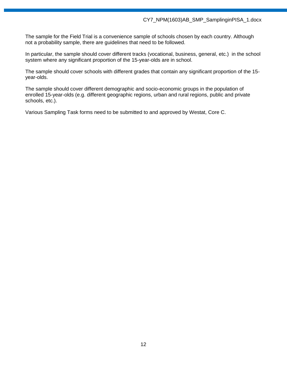The sample for the Field Trial is a convenience sample of schools chosen by each country. Although not a probability sample, there are guidelines that need to be followed.

In particular, the sample should cover different tracks (vocational, business, general, etc.) in the school system where any significant proportion of the 15-year-olds are in school.

The sample should cover schools with different grades that contain any significant proportion of the 15 year-olds.

The sample should cover different demographic and socio-economic groups in the population of enrolled 15-year-olds (e.g. different geographic regions, urban and rural regions, public and private schools, etc.).

Various Sampling Task forms need to be submitted to and approved by Westat, Core C.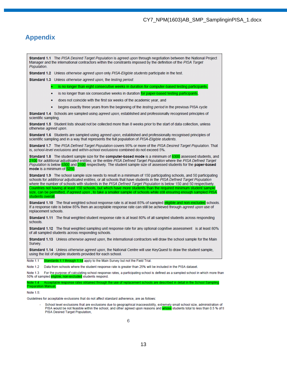#### CY7\_NPM(1603)AB\_SMP\_SamplinginPISA\_1.docx

## **Appendix**

Standard 1.1 The PISA Desired Target Population is agreed upon through negotiation between the National Project Manager and the international contractors within the constraints imposed by the definition of the PISA Target **Population** Standard 1.2 Unless otherwise agreed upon only PISA-Eligible students participate in the test. Standard 1.3 Unless otherwise agreed upon, the testing period: is no longer than eight consecutive weeks in duration for computer-based testing participants is no longer than six consecutive weeks in duration for paper-based testing participants does not coincide with the first six weeks of the academic year, and begins exactly three years from the beginning of the testing period in the previous PISA cycle ۰ Standard 1.4 Schools are sampled using agreed upon, established and professionally recognised principles of scientific sampling. Standard 1.5 Student lists should not be collected more than 8 weeks prior to the start of data collection, unless otherwise agreed upon. Standard 1.6 Students are sampled using agreed upon, established and professionally recognised principles of scientific sampling and in a way that represents the full population of PISA-Eligible students. Standard 1.7 The PISA Defined Target Population covers 95% or more of the PISA Desired Target Population. That is, school-level exclusions and within-school exclusions combined do not exceed 5%. Standard 1.8 The student sample size for the computer-based mode is a minimum of 6300 assessed students, and 2100 for additional adjudicated entities, or the entire PISA Defined Target Population where the PISA Defined Target Population is below 6300 and 2100 respectively. The student sample size of assessed students for the paper-based mode is a minimum of 525 Standard 1.9 The school sample size needs to result in a minimum of 150 participating schools, and 50 participating schools for additional adjudicated entities, or all schools that have students in the PISA Defined Target Population where the number of schools with students in the PISA Defined Target Population is below 150 and 50 respectively. Countries not having at least 150 schools, but which have more students than the required minimum student sample size, can be permitted, *if agreed upon*, to take a smaller sample of schools while still ensuring enough sampled PISA students overall. Standard 1.10 The final weighted school response rate is at least 85% of sampled eligible and non-excluded schools. If a response rate is below 85% then an acceptable response rate can still be achieved through agreed upon use of replacement schools. Standard 1.11 The final weighted student response rate is at least 80% of all sampled students across responding **schools** Standard 1.12 The final weighted sampling unit response rate for any optional cognitive assessment is at least 80% of all sampled students across responding schools. Standard 1.13 Unless otherwise agreed upon, the international contractors will draw the school sample for the Main Survey. **Standard 1.14** Unless otherwise agreed upon, the National Centre will use KeyQuest to draw the student sample, using the list of eligible students provided for each school. dards 1.1 through 1.14 apply to the Main Survey but not the Field Trial. Note 1.1 Note 1.2 Data from schools where the student response rate is greater than 25% will be included in the PISA dataset. Note 1.3 For the purpose of calculating school response rates, a participating school is defined as a sampled school in which more than

50% of sampled eligible, non-excluded students respond.

Note 1.4 Acceptat reparation Manual.

Note 1.5<sup>-</sup>

Guidelines for acceptable exclusions that do not affect standard adherence, are as follows:

School level exclusions that are exclusions due to geographical inaccessibility, extremely small school size, administration of PISA would be not feasible within the school, and other agreed upon reasons and whose students total to less than 0.5 % of tl PISA Desired Target Population,